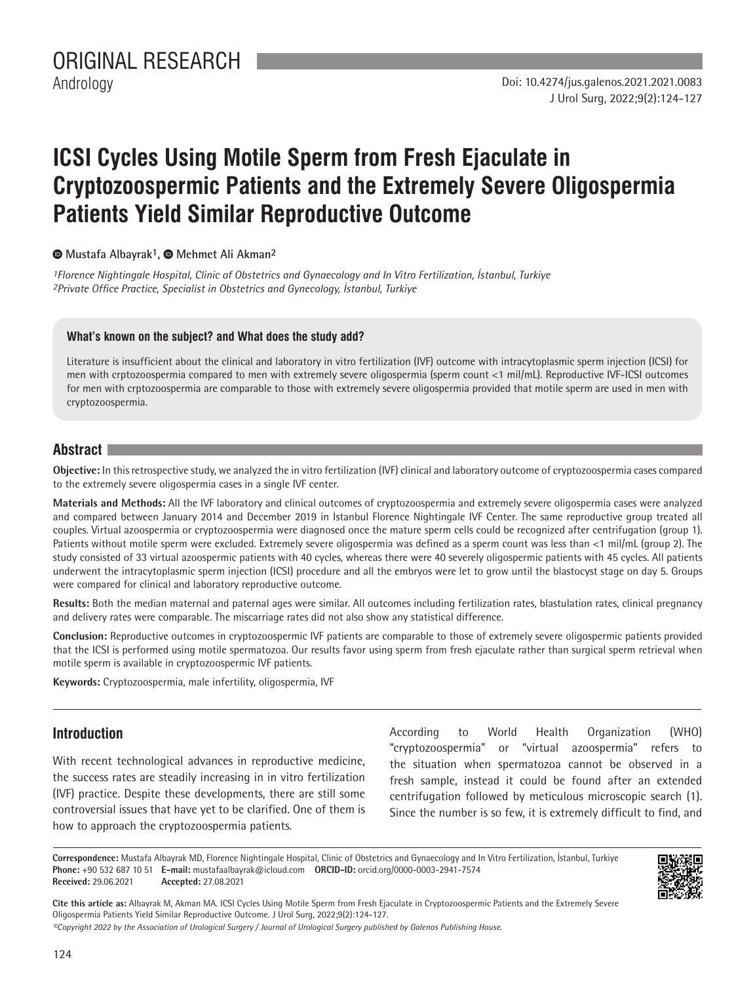# **ICSI Cycles Using Motile Sperm from Fresh Ejaculate in Cryptozoospermic Patients and the Extremely Severe Oligospermia Patients Yield Similar Reproductive Outcome**

 **Mustafa Albayrak1,Mehmet Ali Akman2**

*1Florence Nightingale Hospital, Clinic of Obstetrics and Gynaecology and In Vitro Fertilization, İstanbul, Turkiye 2Private Office Practice, Specialist in Obstetrics and Gynecology, İstanbul, Turkiye*

#### **What's known on the subject? and What does the study add?**

Literature is insufficient about the clinical and laboratory in vitro fertilization (IVF) outcome with intracytoplasmic sperm injection (ICSI) for men with crptozoospermia compared to men with extremely severe oligospermia (sperm count <1 mil/mL). Reproductive IVF-ICSI outcomes for men with crptozoospermia are comparable to those with extremely severe oligospermia provided that motile sperm are used in men with cryptozoospermia.

## **Abstract**

**Objective:** In this retrospective study, we analyzed the in vitro fertilization (IVF) clinical and laboratory outcome of cryptozoospermia cases compared to the extremely severe oligospermia cases in a single IVF center.

**Materials and Methods:** All the IVF laboratory and clinical outcomes of cryptozoospermia and extremely severe oligospermia cases were analyzed and compared between January 2014 and December 2019 in Istanbul Florence Nightingale IVF Center. The same reproductive group treated all couples. Virtual azoospermia or cryptozoospermia were diagnosed once the mature sperm cells could be recognized after centrifugation (group 1). Patients without motile sperm were excluded. Extremely severe oligospermia was defined as a sperm count was less than <1 mil/mL (group 2). The study consisted of 33 virtual azoospermic patients with 40 cycles, whereas there were 40 severely oligospermic patients with 45 cycles. All patients underwent the intracytoplasmic sperm injection (ICSI) procedure and all the embryos were let to grow until the blastocyst stage on day 5. Groups were compared for clinical and laboratory reproductive outcome.

**Results:** Both the median maternal and paternal ages were similar. All outcomes including fertilization rates, blastulation rates, clinical pregnancy and delivery rates were comparable. The miscarriage rates did not also show any statistical difference.

**Conclusion:** Reproductive outcomes in cryptozoospermic IVF patients are comparable to those of extremely severe oligospermic patients provided that the ICSI is performed using motile spermatozoa. Our results favor using sperm from fresh ejaculate rather than surgical sperm retrieval when motile sperm is available in cryptozoospermic IVF patients.

**Keywords:** Cryptozoospermia, male infertility, oligospermia, IVF

## **Introduction**

With recent technological advances in reproductive medicine, the success rates are steadily increasing in in vitro fertilization (IVF) practice. Despite these developments, there are still some controversial issues that have yet to be clarified. One of them is how to approach the cryptozoospermia patients.

According to World Health Organization (WHO) "cryptozoospermia" or "virtual azoospermia" refers to the situation when spermatozoa cannot be observed in a fresh sample, instead it could be found after an extended centrifugation followed by meticulous microscopic search (1). Since the number is so few, it is extremely difficult to find, and

**Correspondence:** Mustafa Albayrak MD, Florence Nightingale Hospital, Clinic of Obstetrics and Gynaecology and In Vitro Fertilization, İstanbul, Turkiye **Phone:** +90 532 687 10 51 **E-mail:** mustafaalbayrak@icloud.com **ORCID-ID:** orcid.org/0000-0003-2941-7574 **Received:** 29.06.2021 **Accepted:** 27.08.2021



**Cite this article as:** Albayrak M, Akman MA. ICSI Cycles Using Motile Sperm from Fresh Ejaculate in Cryptozoospermic Patients and the Extremely Severe Oligospermia Patients Yield Similar Reproductive Outcome. J Urol Surg, 2022;9(2):124-127.

*©Copyright 2022 by the Association of Urological Surgery / Journal of Urological Surgery published by Galenos Publishing House.*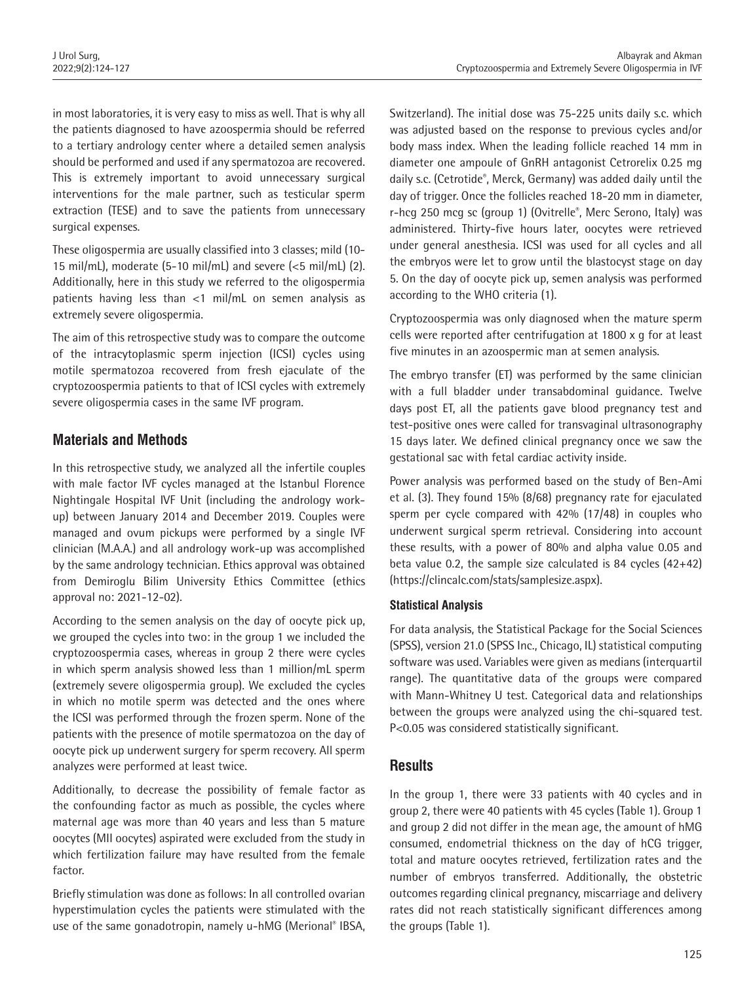in most laboratories, it is very easy to miss as well. That is why all the patients diagnosed to have azoospermia should be referred to a tertiary andrology center where a detailed semen analysis should be performed and used if any spermatozoa are recovered. This is extremely important to avoid unnecessary surgical interventions for the male partner, such as testicular sperm extraction (TESE) and to save the patients from unnecessary surgical expenses.

These oligospermia are usually classified into 3 classes; mild (10- 15 mil/mL), moderate (5-10 mil/mL) and severe (<5 mil/mL) (2). Additionally, here in this study we referred to the oligospermia patients having less than <1 mil/mL on semen analysis as extremely severe oligospermia.

The aim of this retrospective study was to compare the outcome of the intracytoplasmic sperm injection (ICSI) cycles using motile spermatozoa recovered from fresh ejaculate of the cryptozoospermia patients to that of ICSI cycles with extremely severe oligospermia cases in the same IVF program.

# **Materials and Methods**

In this retrospective study, we analyzed all the infertile couples with male factor IVF cycles managed at the Istanbul Florence Nightingale Hospital IVF Unit (including the andrology workup) between January 2014 and December 2019. Couples were managed and ovum pickups were performed by a single IVF clinician (M.A.A.) and all andrology work-up was accomplished by the same andrology technician. Ethics approval was obtained from Demiroglu Bilim University Ethics Committee (ethics approval no: 2021-12-02).

According to the semen analysis on the day of oocyte pick up, we grouped the cycles into two: in the group 1 we included the cryptozoospermia cases, whereas in group 2 there were cycles in which sperm analysis showed less than 1 million/mL sperm (extremely severe oligospermia group). We excluded the cycles in which no motile sperm was detected and the ones where the ICSI was performed through the frozen sperm. None of the patients with the presence of motile spermatozoa on the day of oocyte pick up underwent surgery for sperm recovery. All sperm analyzes were performed at least twice.

Additionally, to decrease the possibility of female factor as the confounding factor as much as possible, the cycles where maternal age was more than 40 years and less than 5 mature oocytes (MII oocytes) aspirated were excluded from the study in which fertilization failure may have resulted from the female factor.

Briefly stimulation was done as follows: In all controlled ovarian hyperstimulation cycles the patients were stimulated with the use of the same gonadotropin, namely u-hMG (Merional® IBSA, Switzerland). The initial dose was 75-225 units daily s.c. which was adjusted based on the response to previous cycles and/or body mass index. When the leading follicle reached 14 mm in diameter one ampoule of GnRH antagonist Cetrorelix 0.25 mg daily s.c. (Cetrotide® , Merck, Germany) was added daily until the day of trigger. Once the follicles reached 18-20 mm in diameter, r-hcg 250 mcg sc (group 1) (Ovitrelle®, Merc Serono, Italy) was administered. Thirty-five hours later, oocytes were retrieved under general anesthesia. ICSI was used for all cycles and all the embryos were let to grow until the blastocyst stage on day 5. On the day of oocyte pick up, semen analysis was performed according to the WHO criteria (1).

Cryptozoospermia was only diagnosed when the mature sperm cells were reported after centrifugation at 1800 x g for at least five minutes in an azoospermic man at semen analysis.

The embryo transfer (ET) was performed by the same clinician with a full bladder under transabdominal guidance. Twelve days post ET, all the patients gave blood pregnancy test and test-positive ones were called for transvaginal ultrasonography 15 days later. We defined clinical pregnancy once we saw the gestational sac with fetal cardiac activity inside.

Power analysis was performed based on the study of Ben-Ami et al. (3). They found 15% (8/68) pregnancy rate for ejaculated sperm per cycle compared with 42% (17/48) in couples who underwent surgical sperm retrieval. Considering into account these results, with a power of 80% and alpha value 0.05 and beta value 0.2, the sample size calculated is 84 cycles (42+42) (https://clincalc.com/stats/samplesize.aspx).

## **Statistical Analysis**

For data analysis, the Statistical Package for the Social Sciences (SPSS), version 21.0 (SPSS Inc., Chicago, IL) statistical computing software was used. Variables were given as medians (interquartil range). The quantitative data of the groups were compared with Mann-Whitney U test. Categorical data and relationships between the groups were analyzed using the chi-squared test. P<0.05 was considered statistically significant.

## **Results**

In the group 1, there were 33 patients with 40 cycles and in group 2, there were 40 patients with 45 cycles (Table 1). Group 1 and group 2 did not differ in the mean age, the amount of hMG consumed, endometrial thickness on the day of hCG trigger, total and mature oocytes retrieved, fertilization rates and the number of embryos transferred. Additionally, the obstetric outcomes regarding clinical pregnancy, miscarriage and delivery rates did not reach statistically significant differences among the groups (Table 1).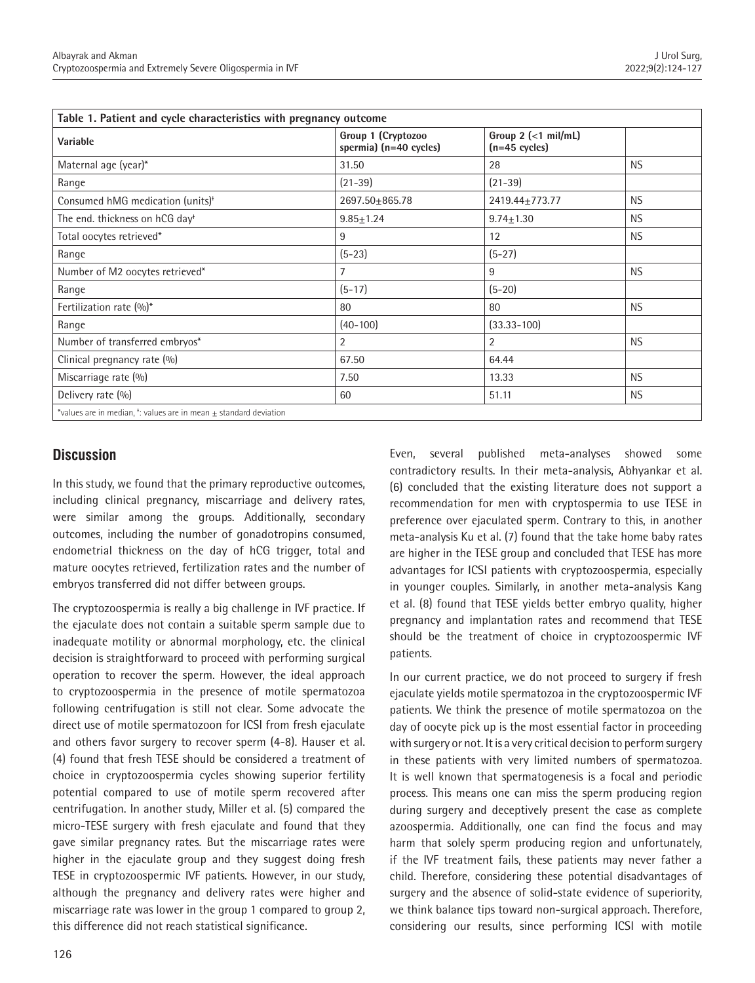| Table 1. Patient and cycle characteristics with pregnancy outcome        |                                              |                                          |           |
|--------------------------------------------------------------------------|----------------------------------------------|------------------------------------------|-----------|
| Variable                                                                 | Group 1 (Cryptozoo<br>spermia) (n=40 cycles) | Group $2$ (<1 mil/mL)<br>$(n=45$ cycles) |           |
| Maternal age (year)*                                                     | 31.50                                        | 28                                       | <b>NS</b> |
| Range                                                                    | $(21 - 39)$                                  | $(21 - 39)$                              |           |
| Consumed hMG medication (units) <sup>*</sup>                             | 2697.50±865.78                               | 2419.44+773.77                           | <b>NS</b> |
| The end. thickness on hCG day <sup>+</sup>                               | $9.85 \pm 1.24$                              | $9.74 \pm 1.30$                          | <b>NS</b> |
| Total oocytes retrieved*                                                 | 9                                            | 12                                       | <b>NS</b> |
| Range                                                                    | $(5-23)$                                     | $(5-27)$                                 |           |
| Number of M2 oocytes retrieved*                                          | 7                                            | 9                                        | <b>NS</b> |
| Range                                                                    | $(5-17)$                                     | $(5-20)$                                 |           |
| Fertilization rate (%)*                                                  | 80                                           | 80                                       | <b>NS</b> |
| Range                                                                    | $(40 - 100)$                                 | $(33.33 - 100)$                          |           |
| Number of transferred embryos*                                           | $\overline{2}$                               | $\overline{2}$                           | NS.       |
| Clinical pregnancy rate (%)                                              | 67.50                                        | 64.44                                    |           |
| Miscarriage rate (%)                                                     | 7.50                                         | 13.33                                    | <b>NS</b> |
| Delivery rate (%)                                                        | 60                                           | 51.11                                    | <b>NS</b> |
| *values are in median, $t$ : values are in mean $\pm$ standard deviation |                                              |                                          |           |

# **Discussion**

In this study, we found that the primary reproductive outcomes, including clinical pregnancy, miscarriage and delivery rates, were similar among the groups. Additionally, secondary outcomes, including the number of gonadotropins consumed, endometrial thickness on the day of hCG trigger, total and mature oocytes retrieved, fertilization rates and the number of embryos transferred did not differ between groups.

The cryptozoospermia is really a big challenge in IVF practice. If the ejaculate does not contain a suitable sperm sample due to inadequate motility or abnormal morphology, etc. the clinical decision is straightforward to proceed with performing surgical operation to recover the sperm. However, the ideal approach to cryptozoospermia in the presence of motile spermatozoa following centrifugation is still not clear. Some advocate the direct use of motile spermatozoon for ICSI from fresh ejaculate and others favor surgery to recover sperm (4-8). Hauser et al. (4) found that fresh TESE should be considered a treatment of choice in cryptozoospermia cycles showing superior fertility potential compared to use of motile sperm recovered after centrifugation. In another study, Miller et al. (5) compared the micro-TESE surgery with fresh ejaculate and found that they gave similar pregnancy rates. But the miscarriage rates were higher in the ejaculate group and they suggest doing fresh TESE in cryptozoospermic IVF patients. However, in our study, although the pregnancy and delivery rates were higher and miscarriage rate was lower in the group 1 compared to group 2, this difference did not reach statistical significance.

Even, several published meta-analyses showed some contradictory results. In their meta-analysis, Abhyankar et al. (6) concluded that the existing literature does not support a recommendation for men with cryptospermia to use TESE in preference over ejaculated sperm. Contrary to this, in another meta-analysis Ku et al. (7) found that the take home baby rates are higher in the TESE group and concluded that TESE has more advantages for ICSI patients with cryptozoospermia, especially in younger couples. Similarly, in another meta-analysis Kang et al. (8) found that TESE yields better embryo quality, higher pregnancy and implantation rates and recommend that TESE should be the treatment of choice in cryptozoospermic IVF patients.

In our current practice, we do not proceed to surgery if fresh ejaculate yields motile spermatozoa in the cryptozoospermic IVF patients. We think the presence of motile spermatozoa on the day of oocyte pick up is the most essential factor in proceeding with surgery or not. It is a very critical decision to perform surgery in these patients with very limited numbers of spermatozoa. It is well known that spermatogenesis is a focal and periodic process. This means one can miss the sperm producing region during surgery and deceptively present the case as complete azoospermia. Additionally, one can find the focus and may harm that solely sperm producing region and unfortunately, if the IVF treatment fails, these patients may never father a child. Therefore, considering these potential disadvantages of surgery and the absence of solid-state evidence of superiority, we think balance tips toward non-surgical approach. Therefore, considering our results, since performing ICSI with motile